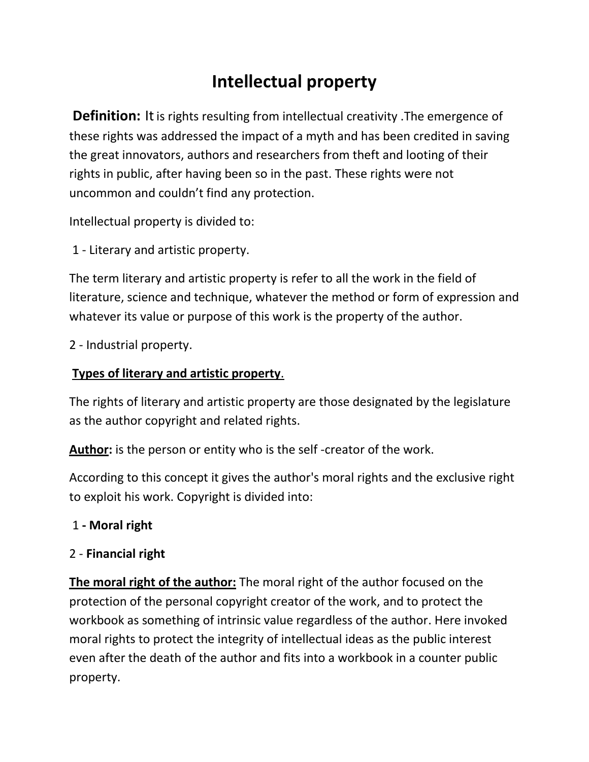# **Intellectual property**

**Definition:** It is rights resulting from intellectual creativity. The emergence of these rights was addressed the impact of a myth and has been credited in saving the great innovators, authors and researchers from theft and looting of their rights in public, after having been so in the past. These rights were not uncommon and couldn't find any protection.

Intellectual property is divided to:

1 - Literary and artistic property.

The term literary and artistic property is refer to all the work in the field of literature, science and technique, whatever the method or form of expression and whatever its value or purpose of this work is the property of the author.

2 - Industrial property.

#### **Types of literary and artistic property**.

The rights of literary and artistic property are those designated by the legislature as the author copyright and related rights.

**Author:** is the person or entity who is the self -creator of the work.

According to this concept it gives the author's moral rights and the exclusive right to exploit his work. Copyright is divided into:

### 1 **- Moral right**

### 2 - **Financial right**

**The moral right of the author:** The moral right of the author focused on the protection of the personal copyright creator of the work, and to protect the workbook as something of intrinsic value regardless of the author. Here invoked moral rights to protect the integrity of intellectual ideas as the public interest even after the death of the author and fits into a workbook in a counter public property.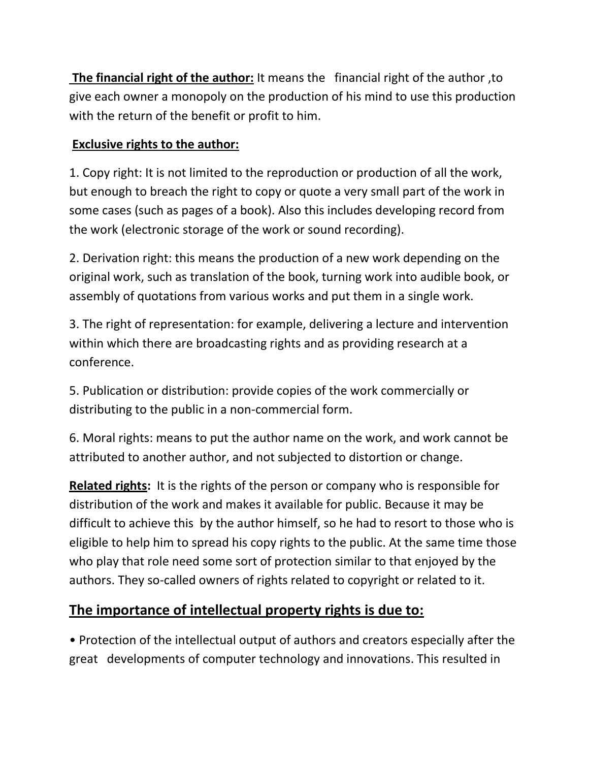**The financial right of the author:** It means the financial right of the author ,to give each owner a monopoly on the production of his mind to use this production with the return of the benefit or profit to him.

### **Exclusive rights to the author:**

1. Copy right: It is not limited to the reproduction or production of all the work, but enough to breach the right to copy or quote a very small part of the work in some cases (such as pages of a book). Also this includes developing record from the work (electronic storage of the work or sound recording).

2. Derivation right: this means the production of a new work depending on the original work, such as translation of the book, turning work into audible book, or assembly of quotations from various works and put them in a single work.

3. The right of representation: for example, delivering a lecture and intervention within which there are broadcasting rights and as providing research at a conference.

5. Publication or distribution: provide copies of the work commercially or distributing to the public in a non-commercial form.

6. Moral rights: means to put the author name on the work, and work cannot be attributed to another author, and not subjected to distortion or change.

**Related rights:** It is the rights of the person or company who is responsible for distribution of the work and makes it available for public. Because it may be difficult to achieve this by the author himself, so he had to resort to those who is eligible to help him to spread his copy rights to the public. At the same time those who play that role need some sort of protection similar to that enjoyed by the authors. They so-called owners of rights related to copyright or related to it.

# **The importance of intellectual property rights is due to:**

• Protection of the intellectual output of authors and creators especially after the great developments of computer technology and innovations. This resulted in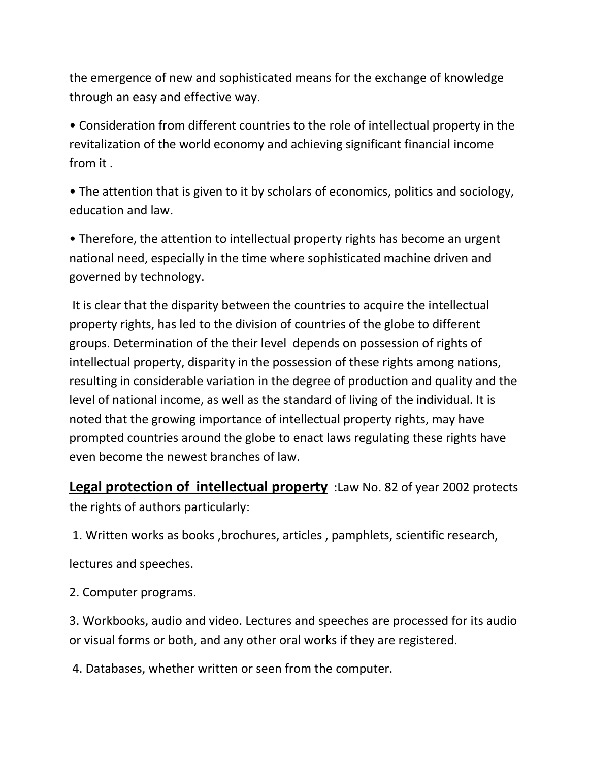the emergence of new and sophisticated means for the exchange of knowledge through an easy and effective way.

• Consideration from different countries to the role of intellectual property in the revitalization of the world economy and achieving significant financial income from it .

• The attention that is given to it by scholars of economics, politics and sociology, education and law.

• Therefore, the attention to intellectual property rights has become an urgent national need, especially in the time where sophisticated machine driven and governed by technology.

It is clear that the disparity between the countries to acquire the intellectual property rights, has led to the division of countries of the globe to different groups. Determination of the their level depends on possession of rights of intellectual property, disparity in the possession of these rights among nations, resulting in considerable variation in the degree of production and quality and the level of national income, as well as the standard of living of the individual. It is noted that the growing importance of intellectual property rights, may have prompted countries around the globe to enact laws regulating these rights have even become the newest branches of law.

**Legal protection of intellectual property** :Law No. 82 of year 2002 protects the rights of authors particularly:

1. Written works as books ,brochures, articles , pamphlets, scientific research,

lectures and speeches.

2. Computer programs.

3. Workbooks, audio and video. Lectures and speeches are processed for its audio or visual forms or both, and any other oral works if they are registered.

4. Databases, whether written or seen from the computer.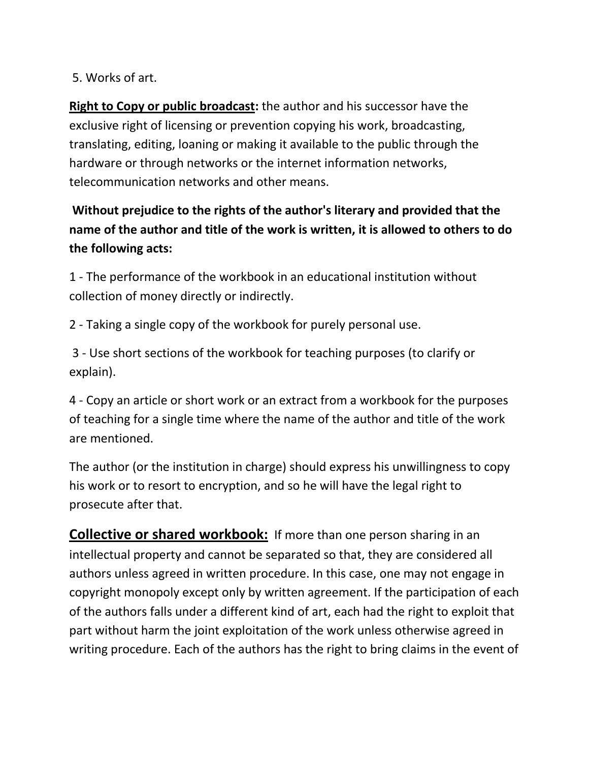#### 5. Works of art.

**Right to Copy or public broadcast:** the author and his successor have the exclusive right of licensing or prevention copying his work, broadcasting, translating, editing, loaning or making it available to the public through the hardware or through networks or the internet information networks, telecommunication networks and other means.

### **Without prejudice to the rights of the author's literary and provided that the name of the author and title of the work is written, it is allowed to others to do the following acts:**

1 - The performance of the workbook in an educational institution without collection of money directly or indirectly.

2 - Taking a single copy of the workbook for purely personal use.

3 - Use short sections of the workbook for teaching purposes (to clarify or explain).

4 - Copy an article or short work or an extract from a workbook for the purposes of teaching for a single time where the name of the author and title of the work are mentioned.

The author (or the institution in charge) should express his unwillingness to copy his work or to resort to encryption, and so he will have the legal right to prosecute after that.

**Collective or shared workbook:** If more than one person sharing in an intellectual property and cannot be separated so that, they are considered all authors unless agreed in written procedure. In this case, one may not engage in copyright monopoly except only by written agreement. If the participation of each of the authors falls under a different kind of art, each had the right to exploit that part without harm the joint exploitation of the work unless otherwise agreed in writing procedure. Each of the authors has the right to bring claims in the event of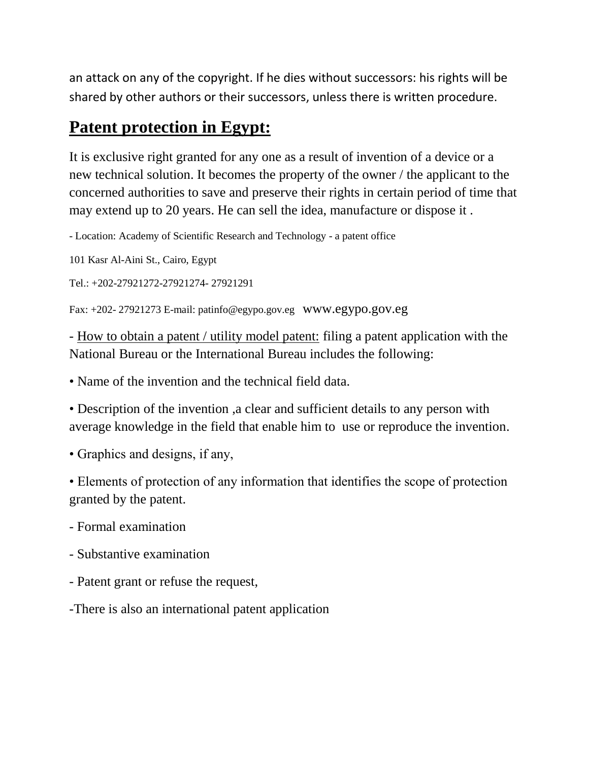an attack on any of the copyright. If he dies without successors: his rights will be shared by other authors or their successors, unless there is written procedure.

# **Patent protection in Egypt:**

It is exclusive right granted for any one as a result of invention of a device or a new technical solution. It becomes the property of the owner / the applicant to the concerned authorities to save and preserve their rights in certain period of time that may extend up to 20 years. He can sell the idea, manufacture or dispose it .

- Location: Academy of Scientific Research and Technology - a patent office

101 Kasr Al-Aini St., Cairo, Egypt

Tel.: +202-27921272-27921274- 27921291

Fax: +202- 27921273 E-mail: patinfo@egypo.gov.eg www.egypo.gov.eg

- How to obtain a patent / utility model patent: filing a patent application with the National Bureau or the International Bureau includes the following:

• Name of the invention and the technical field data.

• Description of the invention ,a clear and sufficient details to any person with average knowledge in the field that enable him to use or reproduce the invention.

• Graphics and designs, if any,

• Elements of protection of any information that identifies the scope of protection granted by the patent.

- Formal examination

- Substantive examination

- Patent grant or refuse the request,

-There is also an international patent application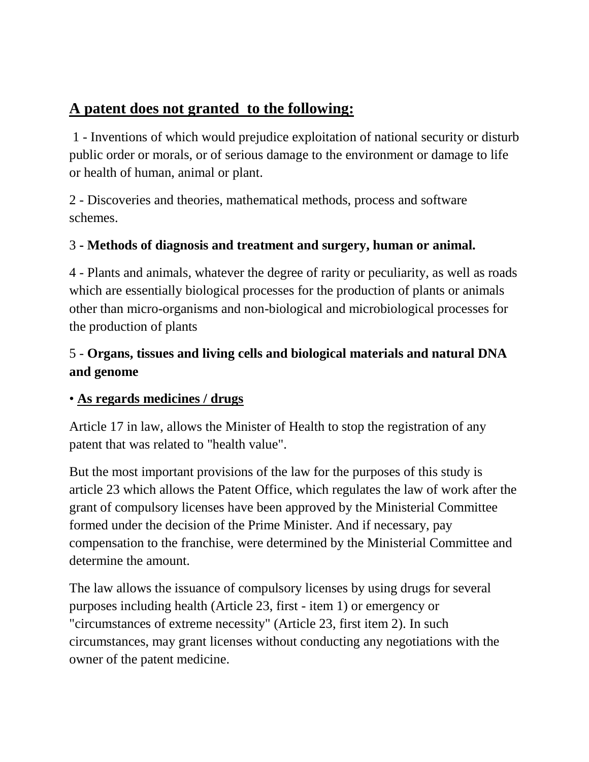# **A patent does not granted to the following:**

1 - Inventions of which would prejudice exploitation of national security or disturb public order or morals, or of serious damage to the environment or damage to life or health of human, animal or plant.

2 - Discoveries and theories, mathematical methods, process and software schemes.

### 3 **- Methods of diagnosis and treatment and surgery, human or animal.**

4 - Plants and animals, whatever the degree of rarity or peculiarity, as well as roads which are essentially biological processes for the production of plants or animals other than micro-organisms and non-biological and microbiological processes for the production of plants

### 5 - **Organs, tissues and living cells and biological materials and natural DNA and genome**

#### • **As regards medicines / drugs**

Article 17 in law, allows the Minister of Health to stop the registration of any patent that was related to "health value".

But the most important provisions of the law for the purposes of this study is article 23 which allows the Patent Office, which regulates the law of work after the grant of compulsory licenses have been approved by the Ministerial Committee formed under the decision of the Prime Minister. And if necessary, pay compensation to the franchise, were determined by the Ministerial Committee and determine the amount.

The law allows the issuance of compulsory licenses by using drugs for several purposes including health (Article 23, first - item 1) or emergency or "circumstances of extreme necessity" (Article 23, first item 2). In such circumstances, may grant licenses without conducting any negotiations with the owner of the patent medicine.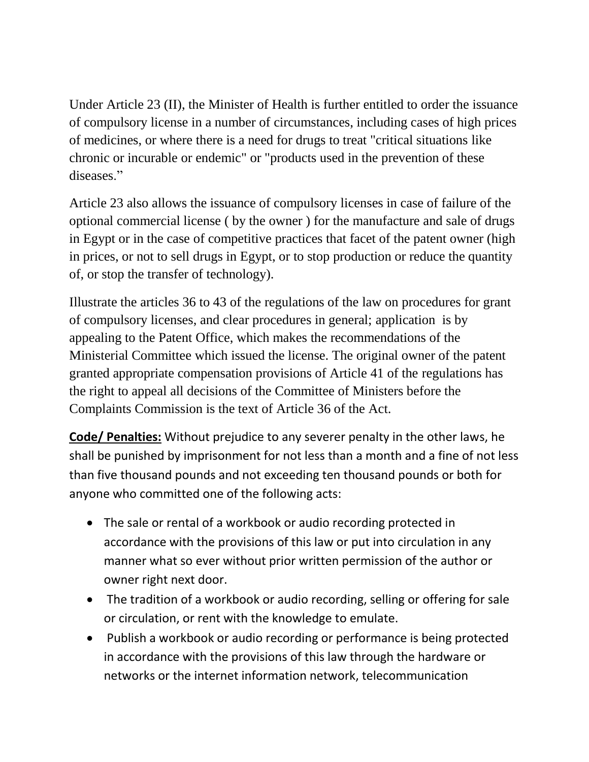Under Article 23 (II), the Minister of Health is further entitled to order the issuance of compulsory license in a number of circumstances, including cases of high prices of medicines, or where there is a need for drugs to treat "critical situations like chronic or incurable or endemic" or "products used in the prevention of these diseases."

Article 23 also allows the issuance of compulsory licenses in case of failure of the optional commercial license ( by the owner ) for the manufacture and sale of drugs in Egypt or in the case of competitive practices that facet of the patent owner (high in prices, or not to sell drugs in Egypt, or to stop production or reduce the quantity of, or stop the transfer of technology).

Illustrate the articles 36 to 43 of the regulations of the law on procedures for grant of compulsory licenses, and clear procedures in general; application is by appealing to the Patent Office, which makes the recommendations of the Ministerial Committee which issued the license. The original owner of the patent granted appropriate compensation provisions of Article 41 of the regulations has the right to appeal all decisions of the Committee of Ministers before the Complaints Commission is the text of Article 36 of the Act.

**Code/ Penalties:** Without prejudice to any severer penalty in the other laws, he shall be punished by imprisonment for not less than a month and a fine of not less than five thousand pounds and not exceeding ten thousand pounds or both for anyone who committed one of the following acts:

- The sale or rental of a workbook or audio recording protected in accordance with the provisions of this law or put into circulation in any manner what so ever without prior written permission of the author or owner right next door.
- The tradition of a workbook or audio recording, selling or offering for sale or circulation, or rent with the knowledge to emulate.
- Publish a workbook or audio recording or performance is being protected in accordance with the provisions of this law through the hardware or networks or the internet information network, telecommunication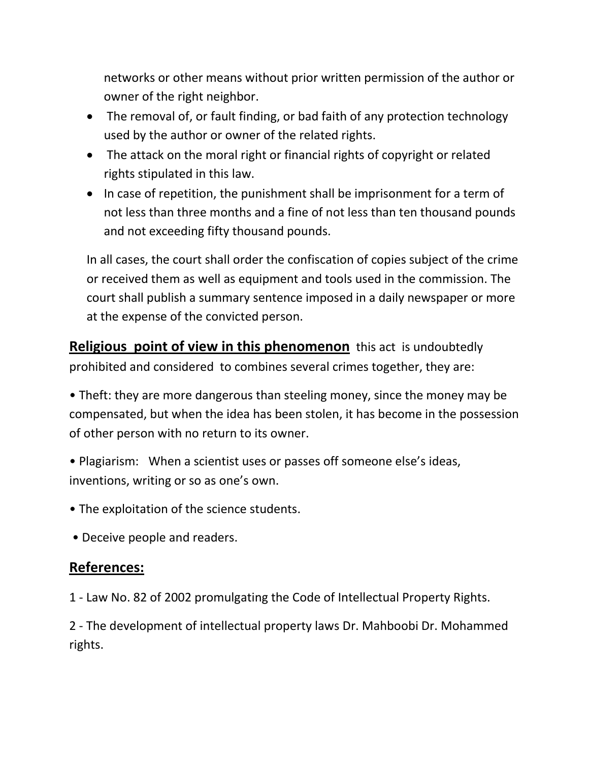networks or other means without prior written permission of the author or owner of the right neighbor.

- The removal of, or fault finding, or bad faith of any protection technology used by the author or owner of the related rights.
- The attack on the moral right or financial rights of copyright or related rights stipulated in this law.
- In case of repetition, the punishment shall be imprisonment for a term of not less than three months and a fine of not less than ten thousand pounds and not exceeding fifty thousand pounds.

In all cases, the court shall order the confiscation of copies subject of the crime or received them as well as equipment and tools used in the commission. The court shall publish a summary sentence imposed in a daily newspaper or more at the expense of the convicted person.

**Religious point of view in this phenomenon** this act is undoubtedly prohibited and considered to combines several crimes together, they are:

• Theft: they are more dangerous than steeling money, since the money may be compensated, but when the idea has been stolen, it has become in the possession of other person with no return to its owner.

• Plagiarism: When a scientist uses or passes off someone else's ideas, inventions, writing or so as one's own.

- The exploitation of the science students.
- Deceive people and readers.

### **References:**

1 - Law No. 82 of 2002 promulgating the Code of Intellectual Property Rights.

2 - The development of intellectual property laws Dr. Mahboobi Dr. Mohammed rights.